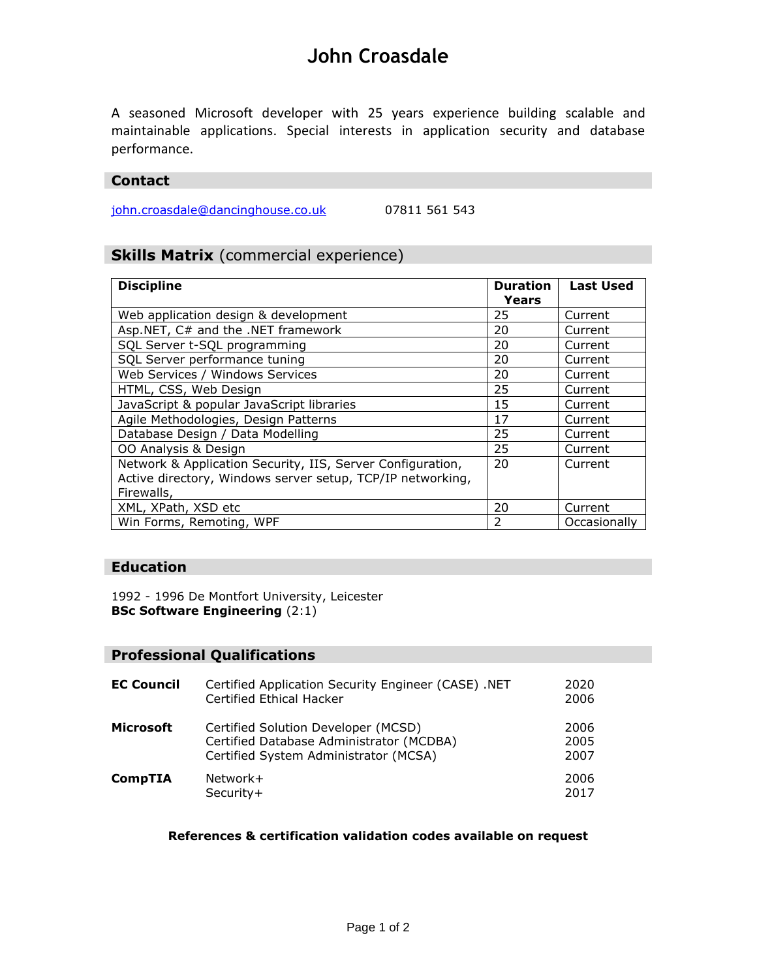# **John Croasdale**

A seasoned Microsoft developer with 25 years experience building scalable and maintainable applications. Special interests in application security and database performance.

#### **Contact**

[john.croasdale@dancinghouse.co.uk](mailto:john.croasdale@dancinghouse.co.uk) 07811 561 543

### **Skills Matrix** (commercial experience)

| <b>Discipline</b>                                          | <b>Duration</b> | <b>Last Used</b> |
|------------------------------------------------------------|-----------------|------------------|
|                                                            | Years           |                  |
| Web application design & development                       | 25              | Current          |
| Asp.NET, C# and the .NET framework                         | 20              | Current          |
| SQL Server t-SQL programming                               | 20              | Current          |
| SQL Server performance tuning                              | 20              | Current          |
| Web Services / Windows Services                            | 20              | Current          |
| HTML, CSS, Web Design                                      | 25              | Current          |
| JavaScript & popular JavaScript libraries                  | 15              | Current          |
| Agile Methodologies, Design Patterns                       | 17              | Current          |
| Database Design / Data Modelling                           | 25              | Current          |
| OO Analysis & Design                                       | 25              | Current          |
| Network & Application Security, IIS, Server Configuration, | 20              | Current          |
| Active directory, Windows server setup, TCP/IP networking, |                 |                  |
| Firewalls,                                                 |                 |                  |
| XML, XPath, XSD etc                                        | 20              | Current          |
| Win Forms, Remoting, WPF                                   | $\mathcal{P}$   | Occasionally     |

### **Education**

1992 - 1996 De Montfort University, Leicester **BSc Software Engineering** (2:1)

### **Professional Qualifications**

| <b>EC Council</b> | Certified Application Security Engineer (CASE) .NET<br>Certified Ethical Hacker                                          | 2020<br>2006         |
|-------------------|--------------------------------------------------------------------------------------------------------------------------|----------------------|
| <b>Microsoft</b>  | Certified Solution Developer (MCSD)<br>Certified Database Administrator (MCDBA)<br>Certified System Administrator (MCSA) | 2006<br>2005<br>2007 |
| <b>CompTIA</b>    | Network+<br>Security+                                                                                                    | 2006<br>2017         |

#### **References & certification validation codes available on request**